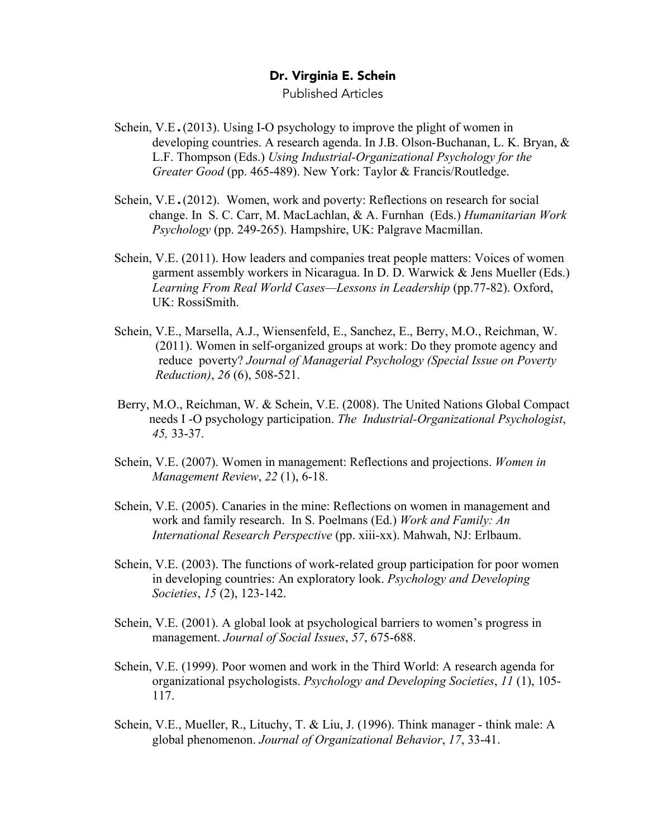## Dr. Virginia E. Schein

Published Articles

- Schein, V.E.(2013). Using I-O psychology to improve the plight of women in developing countries. A research agenda. In J.B. Olson-Buchanan, L. K. Bryan, & L.F. Thompson (Eds.) *Using Industrial-Organizational Psychology for the Greater Good* (pp. 465-489). New York: Taylor & Francis/Routledge.
- Schein, V.E.(2012). Women, work and poverty: Reflections on research for social change. In S. C. Carr, M. MacLachlan, & A. Furnhan (Eds.) *Humanitarian Work Psychology* (pp. 249-265). Hampshire, UK: Palgrave Macmillan.
- Schein, V.E. (2011). How leaders and companies treat people matters: Voices of women garment assembly workers in Nicaragua. In D. D. Warwick & Jens Mueller (Eds.) *Learning From Real World Cases—Lessons in Leadership* (pp.77-82). Oxford, UK: RossiSmith.
- Schein, V.E., Marsella, A.J., Wiensenfeld, E., Sanchez, E., Berry, M.O., Reichman, W. (2011). Women in self-organized groups at work: Do they promote agency and reduce poverty? *Journal of Managerial Psychology (Special Issue on Poverty Reduction)*, *26* (6), 508-521.
- Berry, M.O., Reichman, W. & Schein, V.E. (2008). The United Nations Global Compact needs I -O psychology participation. *The Industrial-Organizational Psychologist*, *45,* 33-37.
- Schein, V.E. (2007). Women in management: Reflections and projections. *Women in Management Review*, *22* (1), 6-18.
- Schein, V.E. (2005). Canaries in the mine: Reflections on women in management and work and family research. In S. Poelmans (Ed.) *Work and Family: An International Research Perspective* (pp. xiii-xx). Mahwah, NJ: Erlbaum.
- Schein, V.E. (2003). The functions of work-related group participation for poor women in developing countries: An exploratory look. *Psychology and Developing Societies*, *15* (2), 123-142.
- Schein, V.E. (2001). A global look at psychological barriers to women's progress in management. *Journal of Social Issues*, *57*, 675-688.
- Schein, V.E. (1999). Poor women and work in the Third World: A research agenda for organizational psychologists. *Psychology and Developing Societies*, *11* (1), 105- 117.
- Schein, V.E., Mueller, R., Lituchy, T. & Liu, J. (1996). Think manager think male: A global phenomenon. *Journal of Organizational Behavior*, *17*, 33-41.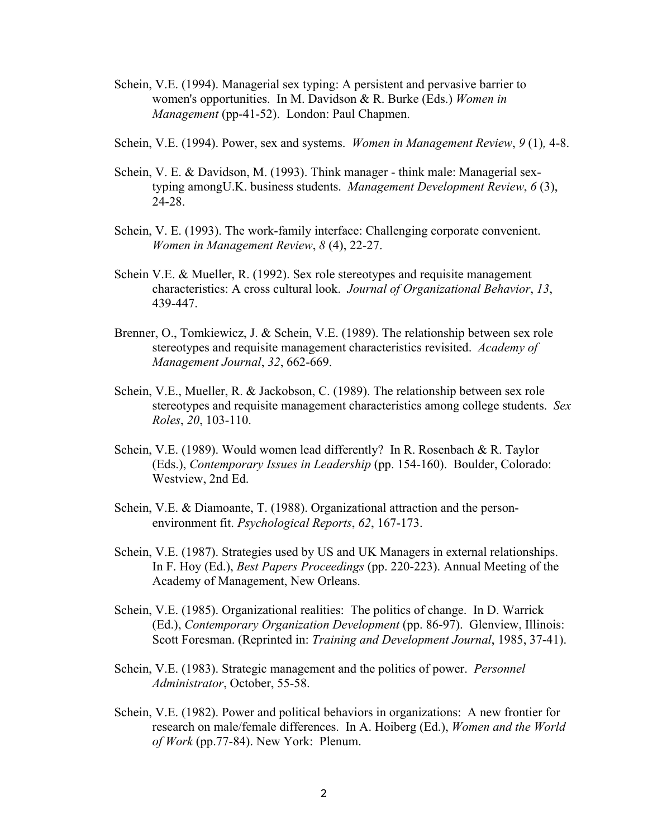- Schein, V.E. (1994). Managerial sex typing: A persistent and pervasive barrier to women's opportunities. In M. Davidson & R. Burke (Eds.) *Women in Management* (pp-41-52). London: Paul Chapmen.
- Schein, V.E. (1994). Power, sex and systems. *Women in Management Review*, *9* (1)*,* 4-8.
- Schein, V. E. & Davidson, M. (1993). Think manager think male: Managerial sextyping amongU.K. business students. *Management Development Review*, *6* (3), 24-28.
- Schein, V. E. (1993). The work-family interface: Challenging corporate convenient. *Women in Management Review*, *8* (4), 22-27.
- Schein V.E. & Mueller, R. (1992). Sex role stereotypes and requisite management characteristics: A cross cultural look. *Journal of Organizational Behavior*, *13*, 439-447.
- Brenner, O., Tomkiewicz, J. & Schein, V.E. (1989). The relationship between sex role stereotypes and requisite management characteristics revisited. *Academy of Management Journal*, *32*, 662-669.
- Schein, V.E., Mueller, R. & Jackobson, C. (1989). The relationship between sex role stereotypes and requisite management characteristics among college students. *Sex Roles*, *20*, 103-110.
- Schein, V.E. (1989). Would women lead differently? In R. Rosenbach & R. Taylor (Eds.), *Contemporary Issues in Leadership* (pp. 154-160). Boulder, Colorado: Westview, 2nd Ed.
- Schein, V.E. & Diamoante, T. (1988). Organizational attraction and the personenvironment fit. *Psychological Reports*, *62*, 167-173.
- Schein, V.E. (1987). Strategies used by US and UK Managers in external relationships. In F. Hoy (Ed.), *Best Papers Proceedings* (pp. 220-223). Annual Meeting of the Academy of Management, New Orleans.
- Schein, V.E. (1985). Organizational realities: The politics of change. In D. Warrick (Ed.), *Contemporary Organization Development* (pp. 86-97). Glenview, Illinois: Scott Foresman. (Reprinted in: *Training and Development Journal*, 1985, 37-41).
- Schein, V.E. (1983). Strategic management and the politics of power. *Personnel Administrator*, October, 55-58.
- Schein, V.E. (1982). Power and political behaviors in organizations: A new frontier for research on male/female differences. In A. Hoiberg (Ed.), *Women and the World of Work* (pp.77-84). New York: Plenum.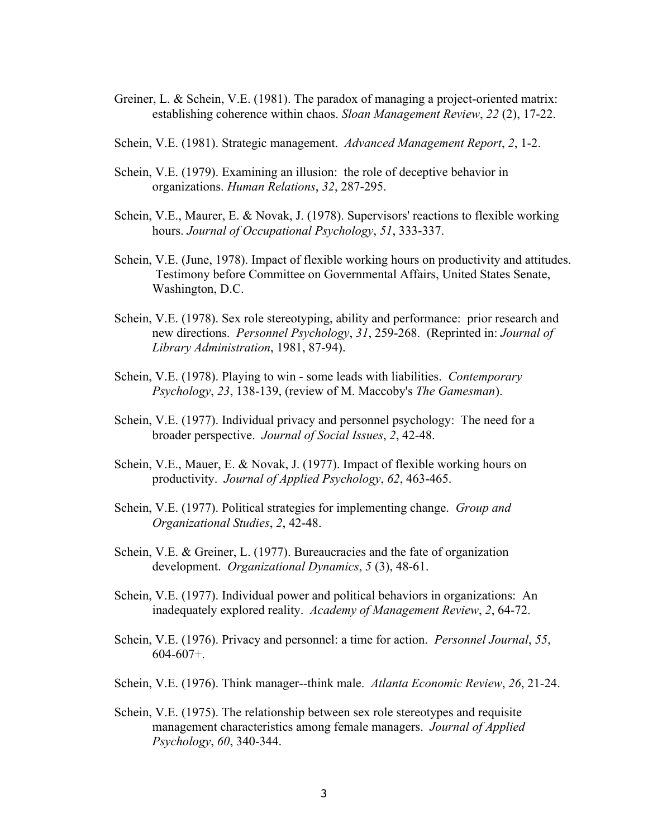- Greiner, L. & Schein, V.E. (1981). The paradox of managing a project-oriented matrix: establishing coherence within chaos. *Sloan Management Review*, *22* (2), 17-22.
- Schein, V.E. (1981). Strategic management. *Advanced Management Report*, *2*, 1-2.
- Schein, V.E. (1979). Examining an illusion: the role of deceptive behavior in organizations. *Human Relations*, *32*, 287-295.
- Schein, V.E., Maurer, E. & Novak, J. (1978). Supervisors' reactions to flexible working hours. *Journal of Occupational Psychology*, *51*, 333-337.
- Schein, V.E. (June, 1978). Impact of flexible working hours on productivity and attitudes. Testimony before Committee on Governmental Affairs, United States Senate, Washington, D.C.
- Schein, V.E. (1978). Sex role stereotyping, ability and performance: prior research and new directions. *Personnel Psychology*, *31*, 259-268. (Reprinted in: *Journal of Library Administration*, 1981, 87-94).
- Schein, V.E. (1978). Playing to win some leads with liabilities. *Contemporary Psychology*, *23*, 138-139, (review of M. Maccoby's *The Gamesman*).
- Schein, V.E. (1977). Individual privacy and personnel psychology: The need for a broader perspective. *Journal of Social Issues*, *2*, 42-48.
- Schein, V.E., Mauer, E. & Novak, J. (1977). Impact of flexible working hours on productivity. *Journal of Applied Psychology*, *62*, 463-465.
- Schein, V.E. (1977). Political strategies for implementing change. *Group and Organizational Studies*, *2*, 42-48.
- Schein, V.E. & Greiner, L. (1977). Bureaucracies and the fate of organization development. *Organizational Dynamics*, *5* (3), 48-61.
- Schein, V.E. (1977). Individual power and political behaviors in organizations: An inadequately explored reality. *Academy of Management Review*, *2*, 64-72.
- Schein, V.E. (1976). Privacy and personnel: a time for action. *Personnel Journal*, *55*,  $604-607+$ .
- Schein, V.E. (1976). Think manager--think male. *Atlanta Economic Review*, *26*, 21-24.
- Schein, V.E. (1975). The relationship between sex role stereotypes and requisite management characteristics among female managers. *Journal of Applied Psychology*, *60*, 340-344.